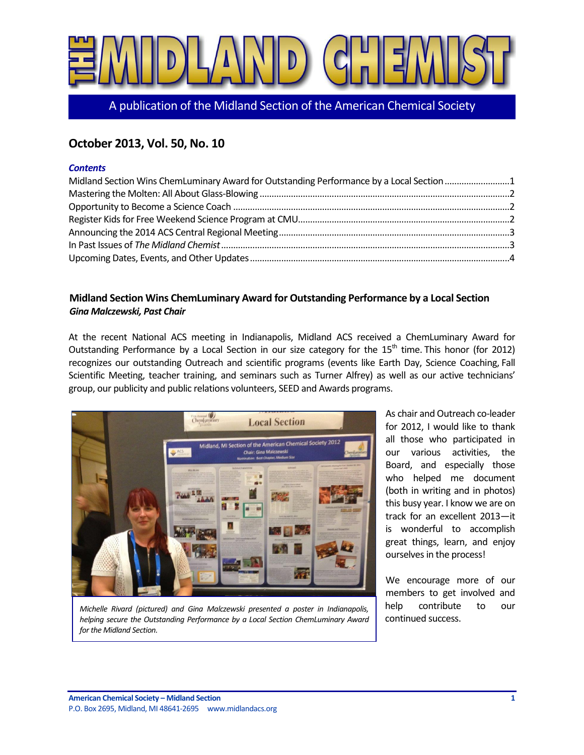

A publication of the Midland Section of the American Chemical Society

# **October 2013, Vol. 50, No. 10**

### *Contents*

| Midland Section Wins ChemLuminary Award for Outstanding Performance by a Local Section 1 |  |
|------------------------------------------------------------------------------------------|--|
|                                                                                          |  |
|                                                                                          |  |
|                                                                                          |  |
|                                                                                          |  |
|                                                                                          |  |
|                                                                                          |  |

# <span id="page-0-0"></span>**Midland Section Wins ChemLuminary Award for Outstanding Performance by a Local Section** *Gina Malczewski, Past Chair*

At the recent National ACS meeting in Indianapolis, Midland ACS received a ChemLuminary Award for Outstanding Performance by a Local Section in our size category for the 15<sup>th</sup> time. This honor (for 2012) recognizes our outstanding Outreach and scientific programs (events like Earth Day, Science Coaching, Fall Scientific Meeting, teacher training, and seminars such as Turner Alfrey) as well as our active technicians' group, our publicity and public relations volunteers, SEED and Awards programs.



*Michelle Rivard (pictured) and Gina Malczewski presented a poster in Indianapolis, helping secure the Outstanding Performance by a Local Section ChemLuminary Award for the Midland Section.*

As chair and Outreach co-leader for 2012, I would like to thank all those who participated in our various activities, the Board, and especially those who helped me document (both in writing and in photos) this busy year. I know we are on track for an excellent 2013—it is wonderful to accomplish great things, learn, and enjoy ourselves in the process!

We encourage more of our members to get involved and help contribute to our continued success.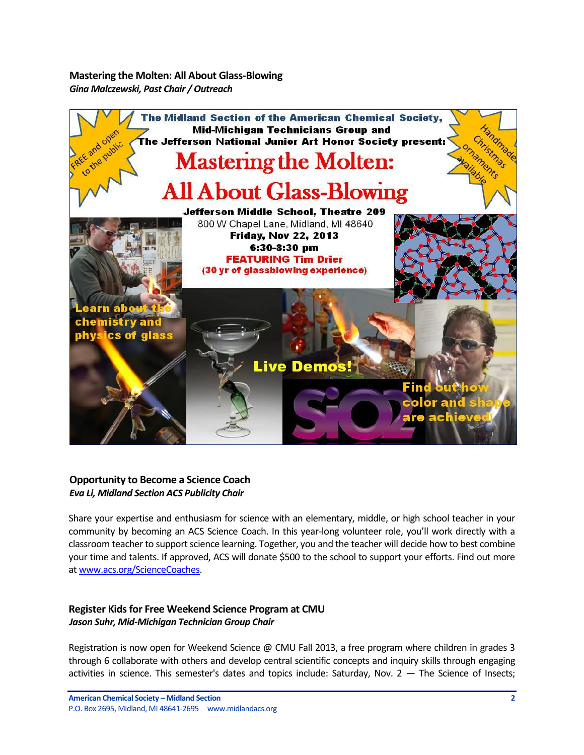<span id="page-1-0"></span>**Mastering the Molten: All About Glass-Blowing** *Gina Malczewski, Past Chair / Outreach*



# <span id="page-1-1"></span>**Opportunity to Become a Science Coach** *Eva Li, Midland Section ACS Publicity Chair*

Share your expertise and enthusiasm for science with an elementary, middle, or high school teacher in your community by becoming an ACS Science Coach. In this year-long volunteer role, you'll work directly with a classroom teacher to support science learning. Together, you and the teacher will decide how to best combine your time and talents. If approved, ACS will donate \$500 to the school to support your efforts. Find out more a[t www.acs.org/ScienceCoaches.](http://www.acs.org/ScienceCoaches)

# <span id="page-1-2"></span>**Register Kids for Free Weekend Science Program at CMU** *Jason Suhr, Mid-Michigan Technician Group Chair*

Registration is now open for Weekend Science @ CMU Fall 2013, a free program where children in grades 3 through 6 collaborate with others and develop central scientific concepts and inquiry skills through engaging activities in science. This semester's dates and topics include: Saturday, Nov. 2 — The Science of Insects;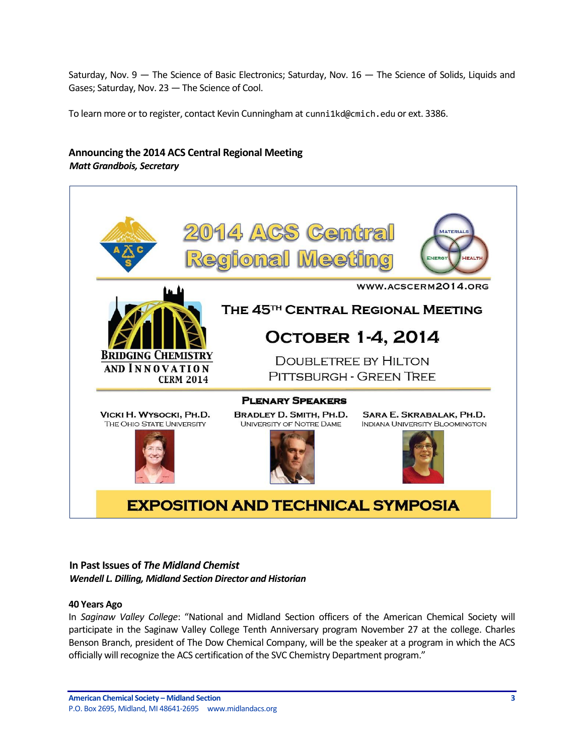Saturday, Nov. 9 — The Science of Basic Electronics; Saturday, Nov. 16 — The Science of Solids, Liquids and Gases; Saturday, Nov. 23 — The Science of Cool.

To learn more or to register, contact Kevin Cunningham at cunni1kd@cmich.edu or ext. 3386.

# <span id="page-2-0"></span>**Announcing the 2014 ACS Central Regional Meeting** *Matt Grandbois, Secretary*



## <span id="page-2-1"></span>**In Past Issues of** *The Midland Chemist Wendell L. Dilling, Midland Section Director and Historian*

#### **40 Years Ago**

In *Saginaw Valley College*: "National and Midland Section officers of the American Chemical Society will participate in the Saginaw Valley College Tenth Anniversary program November 27 at the college. Charles Benson Branch, president of The Dow Chemical Company, will be the speaker at a program in which the ACS officially will recognize the ACS certification of the SVC Chemistry Department program."